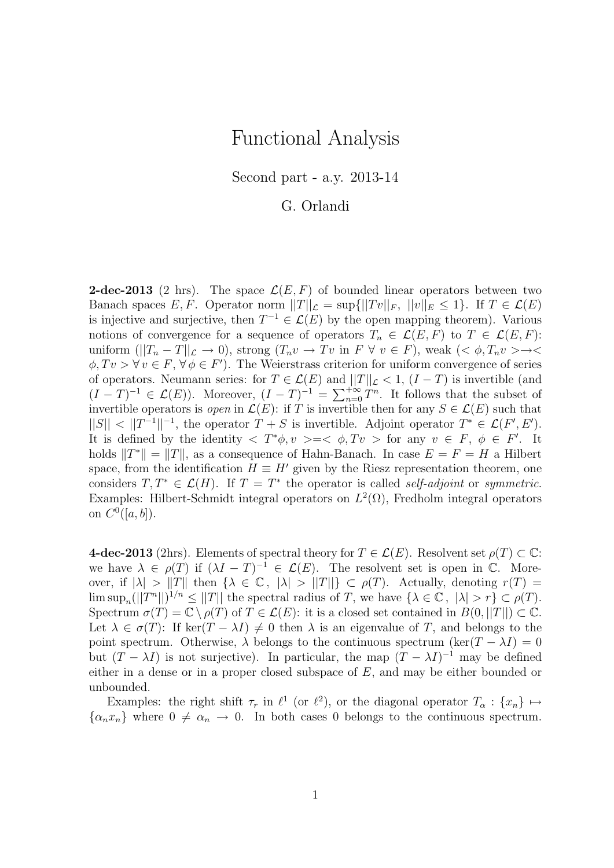## Functional Analysis

Second part - a.y. 2013-14

## G. Orlandi

**2-dec-2013** (2 hrs). The space  $\mathcal{L}(E, F)$  of bounded linear operators between two Banach spaces E, F. Operator norm  $||T||_{\mathcal{L}} = \sup{ {||Tv||_F, ||v||_F \le 1}}$ . If  $T \in \mathcal{L}(E)$ is injective and surjective, then  $T^{-1} \in \mathcal{L}(E)$  by the open mapping theorem). Various notions of convergence for a sequence of operators  $T_n \in \mathcal{L}(E, F)$  to  $T \in \mathcal{L}(E, F)$ : uniform  $(||T_n - T||_{\mathcal{L}} \to 0)$ , strong  $(T_n v \to Tv$  in  $F \forall v \in F)$ , weak  $( $\phi, T_n v > \to <$$  $\phi, Tv > \forall v \in F, \forall \phi \in F'$ . The Weierstrass criterion for uniform convergence of series of operators. Neumann series: for  $T \in \mathcal{L}(E)$  and  $||T||_{\mathcal{L}} < 1$ ,  $(I - T)$  is invertible (and  $(I-T)^{-1} \in \mathcal{L}(E)$ ). Moreover,  $(I-T)^{-1} = \sum_{n=0}^{+\infty} T^n$ . It follows that the subset of invertible operators is *open* in  $\mathcal{L}(E)$ : if T is invertible then for any  $S \in \mathcal{L}(E)$  such that  $||S|| < ||T^{-1}||^{-1}$ , the operator  $T + S$  is invertible. Adjoint operator  $T^* \in \mathcal{L}(F', E')$ . It is defined by the identity  $\langle T^*\phi, v \rangle = \langle \phi, Tv \rangle$  for any  $v \in F$ ,  $\phi \in F'$ . It holds  $||T^*|| = ||T||$ , as a consequence of Hahn-Banach. In case  $E = F = H$  a Hilbert space, from the identification  $H \equiv H'$  given by the Riesz representation theorem, one considers  $T, T^* \in \mathcal{L}(H)$ . If  $T = T^*$  the operator is called self-adjoint or symmetric. Examples: Hilbert-Schmidt integral operators on  $L^2(\Omega)$ , Fredholm integral operators on  $C^0([a, b]).$ 

4-dec-2013 (2hrs). Elements of spectral theory for  $T \in \mathcal{L}(E)$ . Resolvent set  $\rho(T) \subset \mathbb{C}$ : we have  $\lambda \in \rho(T)$  if  $(\lambda I - T)^{-1} \in \mathcal{L}(E)$ . The resolvent set is open in  $\mathbb{C}$ . Moreover, if  $|\lambda| > ||T||$  then  $\{\lambda \in \mathbb{C}, |\lambda| > ||T||\} \subset \rho(T)$ . Actually, denoting  $r(T) =$  $\limsup_n (||T^n||)^{1/n} \leq ||T||$  the spectral radius of T, we have  $\{\lambda \in \mathbb{C}, |\lambda| > r\} \subset \rho(T)$ . Spectrum  $\sigma(T) = \mathbb{C} \setminus \rho(T)$  of  $T \in \mathcal{L}(E)$ : it is a closed set contained in  $B(0,||T||) \subset \mathbb{C}$ . Let  $\lambda \in \sigma(T)$ : If ker $(T - \lambda I) \neq 0$  then  $\lambda$  is an eigenvalue of T, and belongs to the point spectrum. Otherwise,  $\lambda$  belongs to the continuous spectrum (ker(T –  $\lambda I$ ) = 0 but  $(T - \lambda I)$  is not surjective). In particular, the map  $(T - \lambda I)^{-1}$  may be defined either in a dense or in a proper closed subspace of E, and may be either bounded or unbounded.

Examples: the right shift  $\tau_r$  in  $\ell^1$  (or  $\ell^2$ ), or the diagonal operator  $T_\alpha : \{x_n\} \mapsto$  $\{\alpha_n x_n\}$  where  $0 \neq \alpha_n \to 0$ . In both cases 0 belongs to the continuous spectrum.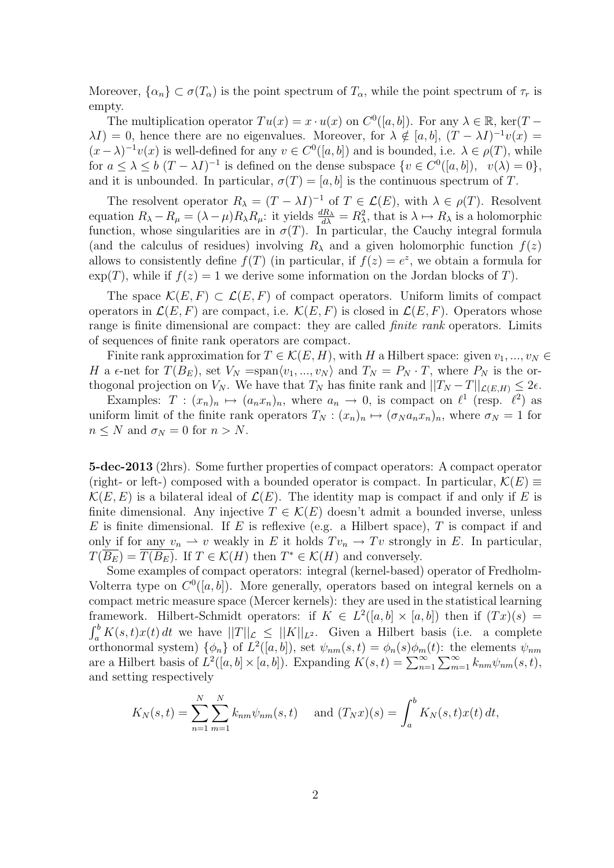Moreover,  $\{\alpha_n\} \subset \sigma(T_\alpha)$  is the point spectrum of  $T_\alpha$ , while the point spectrum of  $\tau_r$  is empty.

The multiplication operator  $Tu(x) = x \cdot u(x)$  on  $C^0([a, b])$ . For any  $\lambda \in \mathbb{R}$ , ker(T –  $\lambda I$ ) = 0, hence there are no eigenvalues. Moreover, for  $\lambda \notin [a, b]$ ,  $(T - \lambda I)^{-1}v(x)$  =  $(x - \lambda)^{-1}v(x)$  is well-defined for any  $v \in C^{0}([a, b])$  and is bounded, i.e.  $\lambda \in \rho(T)$ , while for  $a \leq \lambda \leq b$   $(T - \lambda I)^{-1}$  is defined on the dense subspace  $\{v \in C^0([a, b]), v(\lambda) = 0\},\$ and it is unbounded. In particular,  $\sigma(T) = [a, b]$  is the continuous spectrum of T.

The resolvent operator  $R_{\lambda} = (T - \lambda I)^{-1}$  of  $T \in \mathcal{L}(E)$ , with  $\lambda \in \rho(T)$ . Resolvent equation  $R_{\lambda} - R_{\mu} = (\lambda - \mu) R_{\lambda} R_{\mu}$ : it yields  $\frac{dR_{\lambda}}{d\lambda} = R_{\lambda}^2$ , that is  $\lambda \mapsto R_{\lambda}$  is a holomorphic function, whose singularities are in  $\sigma(T)$ . In particular, the Cauchy integral formula (and the calculus of residues) involving  $R_{\lambda}$  and a given holomorphic function  $f(z)$ allows to consistently define  $f(T)$  (in particular, if  $f(z) = e^z$ , we obtain a formula for  $\exp(T)$ , while if  $f(z) = 1$  we derive some information on the Jordan blocks of T).

The space  $\mathcal{K}(E, F) \subset \mathcal{L}(E, F)$  of compact operators. Uniform limits of compact operators in  $\mathcal{L}(E, F)$  are compact, i.e.  $\mathcal{K}(E, F)$  is closed in  $\mathcal{L}(E, F)$ . Operators whose range is finite dimensional are compact: they are called *finite rank* operators. Limits of sequences of finite rank operators are compact.

Finite rank approximation for  $T \in \mathcal{K}(E, H)$ , with H a Hilbert space: given  $v_1, ..., v_N \in$ H a  $\epsilon$ -net for  $T(B_E)$ , set  $V_N = \text{span}\langle v_1, ..., v_N \rangle$  and  $T_N = P_N \cdot T$ , where  $P_N$  is the orthogonal projection on  $V_N$ . We have that  $T_N$  has finite rank and  $||T_N - T||_{\mathcal{L}(E,H)} \leq 2\epsilon$ .

Examples:  $T : (x_n)_n \mapsto (a_n x_n)_n$ , where  $a_n \to 0$ , is compact on  $\ell^1$  (resp.  $\ell^2$ ) as uniform limit of the finite rank operators  $T_N$ :  $(x_n)_n \mapsto (\sigma_N a_n x_n)_n$ , where  $\sigma_N = 1$  for  $n \leq N$  and  $\sigma_N = 0$  for  $n > N$ .

5-dec-2013 (2hrs). Some further properties of compact operators: A compact operator (right- or left-) composed with a bounded operator is compact. In particular,  $\mathcal{K}(E) \equiv$  $\mathcal{K}(E, E)$  is a bilateral ideal of  $\mathcal{L}(E)$ . The identity map is compact if and only if E is finite dimensional. Any injective  $T \in \mathcal{K}(E)$  doesn't admit a bounded inverse, unless E is finite dimensional. If E is reflexive (e.g. a Hilbert space), T is compact if and only if for any  $v_n \rightharpoonup v$  weakly in E it holds  $Tv_n \rightharpoonup Tv$  strongly in E. In particular,  $T(\overline{B_E}) = \overline{T(B_E)}$ . If  $T \in \mathcal{K}(H)$  then  $T^* \in \mathcal{K}(H)$  and conversely.

Some examples of compact operators: integral (kernel-based) operator of Fredholm-Volterra type on  $C^0([a, b])$ . More generally, operators based on integral kernels on a compact metric measure space (Mercer kernels): they are used in the statistical learning framework. Hilbert-Schmidt operators: if  $K \in L^2([a, b] \times [a, b])$  then if  $(Tx)(s) =$  $\int_a^b K(s,t)x(t) dt$  we have  $||T||_{\mathcal{L}} \leq ||K||_{L^2}$ . Given a Hilbert basis (i.e. a complete orthonormal system)  $\{\phi_n\}$  of  $L^2([a, b])$ , set  $\psi_{nm}(s, t) = \phi_n(s)\phi_m(t)$ : the elements  $\psi_{nm}$ are a Hilbert basis of  $\hat{L}^2([a, b] \times [a, b])$ . Expanding  $K(s,t) = \sum_{n=1}^{\infty} \sum_{m=1}^{\infty} k_{nm} \psi_{nm}(s,t)$ , and setting respectively

$$
K_N(s,t) = \sum_{n=1}^N \sum_{m=1}^N k_{nm} \psi_{nm}(s,t)
$$
 and  $(T_N x)(s) = \int_a^b K_N(s,t) x(t) dt$ ,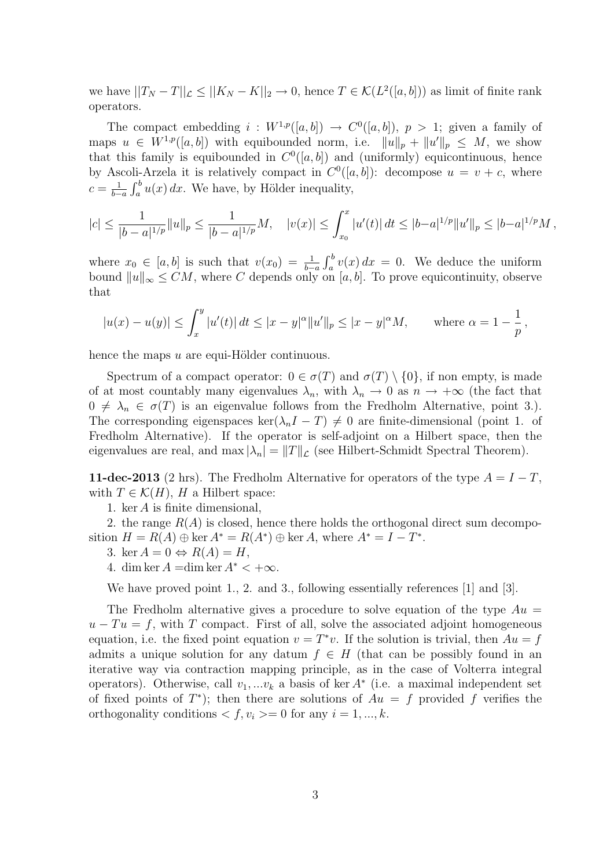we have  $||T_N - T||_{\mathcal{L}} \le ||K_N - K||_2 \to 0$ , hence  $T \in \mathcal{K}(L^2([a, b]))$  as limit of finite rank operators.

The compact embedding  $i: W^{1,p}([a,b]) \to C^0([a,b])$ ,  $p > 1$ ; given a family of maps  $u \in W^{1,p}([a, b])$  with equibounded norm, i.e.  $||u||_p + ||u'||_p \leq M$ , we show that this family is equibounded in  $C^0([a, b])$  and (uniformly) equicontinuous, hence by Ascoli-Arzela it is relatively compact in  $C<sup>0</sup>([a, b])$ : decompose  $u = v + c$ , where  $c=\frac{1}{b-1}$  $\frac{1}{b-a} \int_a^b u(x) dx$ . We have, by Hölder inequality,

$$
|c| \le \frac{1}{|b-a|^{1/p}} \|u\|_p \le \frac{1}{|b-a|^{1/p}} M, \quad |v(x)| \le \int_{x_0}^x |u'(t)| \, dt \le |b-a|^{1/p} \|u'\|_p \le |b-a|^{1/p} M,
$$

where  $x_0 \in [a, b]$  is such that  $v(x_0) = \frac{1}{b-a} \int_a^b v(x) dx = 0$ . We deduce the uniform bound  $||u||_{\infty} \le CM$ , where C depends only on [a, b]. To prove equicontinuity, observe that

$$
|u(x) - u(y)| \le \int_x^y |u'(t)| dt \le |x - y|^{\alpha} ||u'||_p \le |x - y|^{\alpha} M
$$
, where  $\alpha = 1 - \frac{1}{p}$ ,

hence the maps  $u$  are equi-Hölder continuous.

Spectrum of a compact operator:  $0 \in \sigma(T)$  and  $\sigma(T) \setminus \{0\}$ , if non empty, is made of at most countably many eigenvalues  $\lambda_n$ , with  $\lambda_n \to 0$  as  $n \to +\infty$  (the fact that  $0 \neq \lambda_n \in \sigma(T)$  is an eigenvalue follows from the Fredholm Alternative, point 3.). The corresponding eigenspaces ker( $\lambda_n I - T$ )  $\neq 0$  are finite-dimensional (point 1. of Fredholm Alternative). If the operator is self-adjoint on a Hilbert space, then the eigenvalues are real, and  $\max |\lambda_n| = ||T||_{\mathcal{L}}$  (see Hilbert-Schmidt Spectral Theorem).

**11-dec-2013** (2 hrs). The Fredholm Alternative for operators of the type  $A = I - T$ , with  $T \in \mathcal{K}(H)$ , H a Hilbert space:

1. ker A is finite dimensional,

2. the range  $R(A)$  is closed, hence there holds the orthogonal direct sum decomposition  $H = R(A) \oplus \text{ker } A^* = R(A^*) \oplus \text{ker } A$ , where  $A^* = I - T^*$ .

- 3. ker  $A = 0 \Leftrightarrow R(A) = H$ ,
- 4. dim ker  $A = \dim \ker A^* < +\infty$ .

We have proved point 1, 2. and 3, following essentially references [1] and [3].

The Fredholm alternative gives a procedure to solve equation of the type  $Au =$  $u - Tu = f$ , with T compact. First of all, solve the associated adjoint homogeneous equation, i.e. the fixed point equation  $v = T^*v$ . If the solution is trivial, then  $Au = f$ admits a unique solution for any datum  $f \in H$  (that can be possibly found in an iterative way via contraction mapping principle, as in the case of Volterra integral operators). Otherwise, call  $v_1, \ldots v_k$  a basis of ker  $A^*$  (i.e. a maximal independent set of fixed points of  $T^*$ ); then there are solutions of  $Au = f$  provided f verifies the orthogonality conditions  $\langle f, v_i \rangle = 0$  for any  $i = 1, ..., k$ .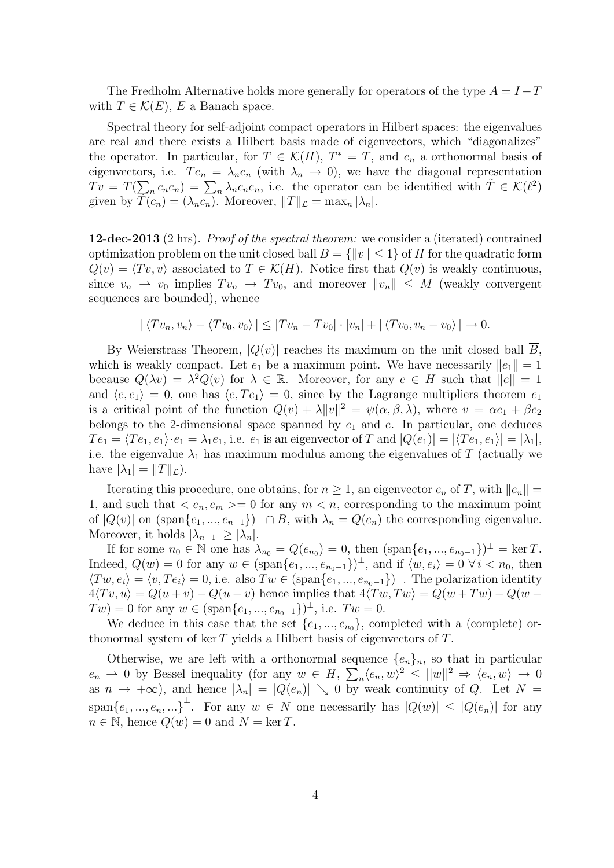The Fredholm Alternative holds more generally for operators of the type  $A = I - T$ with  $T \in \mathcal{K}(E)$ , E a Banach space.

Spectral theory for self-adjoint compact operators in Hilbert spaces: the eigenvalues are real and there exists a Hilbert basis made of eigenvectors, which "diagonalizes" the operator. In particular, for  $T \in \mathcal{K}(H)$ ,  $T^* = T$ , and  $e_n$  a orthonormal basis of eigenvectors, i.e.  $Te_n = \lambda_n e_n$  (with  $\lambda_n \to 0$ ), we have the diagonal representation  $Tv = T(\sum_{n} c_n e_n) = \sum_{n} \lambda_n c_n e_n$ , i.e. the operator can be identified with  $\tilde{T} \in \mathcal{K}(\ell^2)$ given by  $T(c_n) = (\lambda_n c_n)$ . Moreover,  $||T||_{\mathcal{L}} = \max_n |\lambda_n|$ .

12-dec-2013 (2 hrs). Proof of the spectral theorem: we consider a (iterated) contrained optimization problem on the unit closed ball  $\overline{B} = \{||v|| \leq 1\}$  of H for the quadratic form  $Q(v) = \langle Tv, v \rangle$  associated to  $T \in \mathcal{K}(H)$ . Notice first that  $Q(v)$  is weakly continuous, since  $v_n \rightharpoonup v_0$  implies  $Tv_n \rightharpoonup Tv_0$ , and moreover  $||v_n|| \rightharpoonup M$  (weakly convergent sequences are bounded), whence

$$
|\langle Tv_n, v_n \rangle - \langle Tv_0, v_0 \rangle| \leq |Tv_n - Tv_0| \cdot |v_n| + |\langle Tv_0, v_n - v_0 \rangle| \to 0.
$$

By Weierstrass Theorem,  $|Q(v)|$  reaches its maximum on the unit closed ball  $\overline{B}$ , which is weakly compact. Let  $e_1$  be a maximum point. We have necessarily  $||e_1|| = 1$ because  $Q(\lambda v) = \lambda^2 Q(v)$  for  $\lambda \in \mathbb{R}$ . Moreover, for any  $e \in H$  such that  $||e|| = 1$ and  $\langle e, e_1 \rangle = 0$ , one has  $\langle e, Te_1 \rangle = 0$ , since by the Lagrange multipliers theorem  $e_1$ is a critical point of the function  $Q(v) + \lambda ||v||^2 = \psi(\alpha, \beta, \lambda)$ , where  $v = \alpha e_1 + \beta e_2$ belongs to the 2-dimensional space spanned by  $e_1$  and  $e$ . In particular, one deduces  $Te_1 = \langle Te_1, e_1 \rangle \cdot e_1 = \lambda_1 e_1$ , i.e.  $e_1$  is an eigenvector of T and  $|Q(e_1)| = |\langle Te_1, e_1 \rangle| = |\lambda_1|$ , i.e. the eigenvalue  $\lambda_1$  has maximum modulus among the eigenvalues of T (actually we have  $|\lambda_1| = ||T||_{\mathcal{L}}$ .

Iterating this procedure, one obtains, for  $n \geq 1$ , an eigenvector  $e_n$  of T, with  $||e_n|| =$ 1, and such that  $\langle e_n, e_m \rangle = 0$  for any  $m \langle n \rangle$ , corresponding to the maximum point of  $|Q(v)|$  on  $(\text{span}\{e_1, ..., e_{n-1}\})^{\perp} \cap \overline{B}$ , with  $\lambda_n = Q(e_n)$  the corresponding eigenvalue. Moreover, it holds  $|\lambda_{n-1}| \geq |\lambda_n|$ .

If for some  $n_0 \in \mathbb{N}$  one has  $\lambda_{n_0} = Q(e_{n_0}) = 0$ , then  $(\text{span}\{e_1, ..., e_{n_0-1}\})^{\perp} = \ker T$ . Indeed,  $Q(w) = 0$  for any  $w \in (\text{span}\{e_1, ..., e_{n_0-1}\})^{\perp}$ , and if  $\langle w, e_i \rangle = 0 \ \forall i \langle n_0, \text{ then}$  $\langle Tw, e_i \rangle = \langle v, Te_i \rangle = 0$ , i.e. also  $Tw \in (\text{span}\{e_1, ..., e_{n_0-1}\})^{\perp}$ . The polarization identity  $4\langle Tv, u \rangle = Q(u+v) - Q(u-v)$  hence implies that  $4\langle Tw, Tw \rangle = Q(w+Tw) - Q(w-v)$  $Tw) = 0$  for any  $w \in (\text{span}\{e_1, ..., e_{n_0-1}\})^{\perp}$ , i.e.  $Tw = 0$ .

We deduce in this case that the set  $\{e_1, ..., e_{n_0}\}$ , completed with a (complete) orthonormal system of ker  $T$  yields a Hilbert basis of eigenvectors of  $T$ .

Otherwise, we are left with a orthonormal sequence  ${e_n}_n$ , so that in particular  $e_n \rightharpoonup 0$  by Bessel inequality (for any  $w \in H$ ,  $\sum_n \langle e_n, w \rangle^2 \le ||w||^2 \Rightarrow \langle e_n, w \rangle \to 0$ as  $n \to +\infty$ , and hence  $|\lambda_n| = |Q(e_n)| \searrow 0$  by weak continuity of Q. Let  $N =$  $\overline{\text{span}\{e_1, ..., e_n, ...\}}^{\perp}$ . For any  $w \in N$  one necessarily has  $|Q(w)| \leq |Q(e_n)|$  for any  $n \in \mathbb{N}$ , hence  $Q(w) = 0$  and  $N = \ker T$ .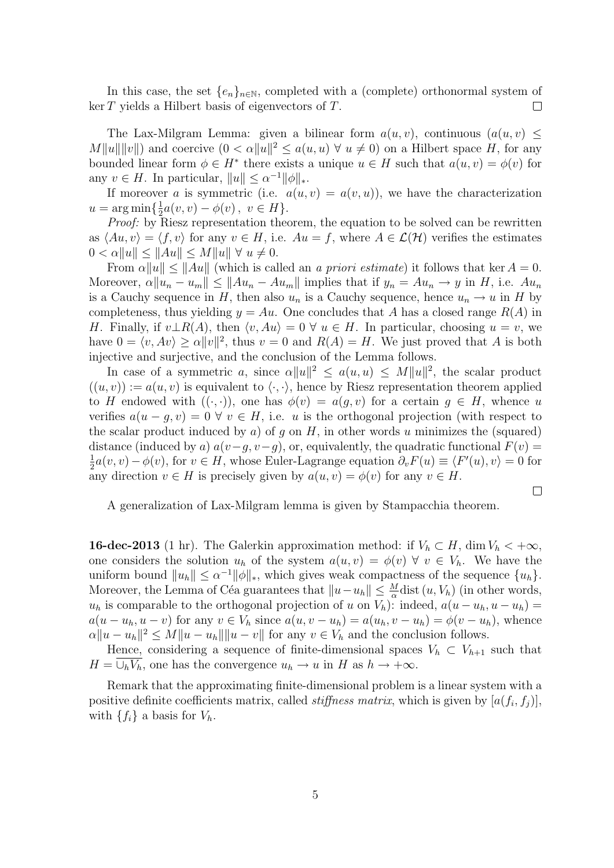In this case, the set  $\{e_n\}_{n\in\mathbb{N}}$ , completed with a (complete) orthonormal system of ker T yields a Hilbert basis of eigenvectors of T.  $\Box$ 

The Lax-Milgram Lemma: given a bilinear form  $a(u, v)$ , continuous  $(a(u, v)$  <  $M||u|| ||v||$  and coercive  $(0 < \alpha ||u||^2 \le a(u, u) \ \forall u \ne 0)$  on a Hilbert space H, for any bounded linear form  $\phi \in H^*$  there exists a unique  $u \in H$  such that  $a(u, v) = \phi(v)$  for any  $v \in H$ . In particular,  $||u|| \leq \alpha^{-1} ||\phi||_*$ .

If moreover a is symmetric (i.e.  $a(u, v) = a(v, u)$ ), we have the characterization  $u = \arg \min \left\{ \frac{1}{2} \right\}$  $\frac{1}{2}a(v,v) - \phi(v), v \in H$ .

Proof: by Riesz representation theorem, the equation to be solved can be rewritten as  $\langle Au, v \rangle = \langle f, v \rangle$  for any  $v \in H$ , i.e.  $Au = f$ , where  $A \in \mathcal{L}(\mathcal{H})$  verifies the estimates  $0 < \alpha ||u|| \le ||Au|| \le M||u|| \ \forall \ u \neq 0.$ 

From  $\alpha ||u|| \le ||Au||$  (which is called an a priori estimate) it follows that ker  $A = 0$ . Moreover,  $\alpha \|u_n - u_m\| \leq \|Au_n - Au_m\|$  implies that if  $y_n = Au_n \to y$  in H, i.e.  $Au_n$ is a Cauchy sequence in H, then also  $u_n$  is a Cauchy sequence, hence  $u_n \to u$  in H by completeness, thus yielding  $y = Au$ . One concludes that A has a closed range  $R(A)$  in H. Finally, if  $v \perp R(A)$ , then  $\langle v, Au \rangle = 0 \ \forall u \in H$ . In particular, choosing  $u = v$ , we have  $0 = \langle v, Av \rangle \ge \alpha ||v||^2$ , thus  $v = 0$  and  $R(A) = H$ . We just proved that A is both injective and surjective, and the conclusion of the Lemma follows.

In case of a symmetric a, since  $\alpha ||u||^2 \leq a(u,u) \leq M ||u||^2$ , the scalar product  $((u, v)) := a(u, v)$  is equivalent to  $\langle \cdot, \cdot \rangle$ , hence by Riesz representation theorem applied to H endowed with  $((\cdot,\cdot))$ , one has  $\phi(v) = a(g,v)$  for a certain  $g \in H$ , whence u verifies  $a(u-g, v) = 0 \ \forall \ v \in H$ , i.e. u is the orthogonal projection (with respect to the scalar product induced by a) of g on  $H$ , in other words u minimizes the (squared) distance (induced by a)  $a(v-q, v-q)$ , or, equivalently, the quadratic functional  $F(v)$  = 1  $\frac{1}{2}a(v, v) - \phi(v)$ , for  $v \in H$ , whose Euler-Lagrange equation  $\partial_v F(u) \equiv \langle F'(u), v \rangle = 0$  for any direction  $v \in H$  is precisely given by  $a(u, v) = \phi(v)$  for any  $v \in H$ .

 $\Box$ 

A generalization of Lax-Milgram lemma is given by Stampacchia theorem.

**16-dec-2013** (1 hr). The Galerkin approximation method: if  $V_h \subset H$ , dim  $V_h < +\infty$ , one considers the solution  $u_h$  of the system  $a(u, v) = \phi(v) \ \forall \ v \in V_h$ . We have the uniform bound  $||u_h|| \leq \alpha^{-1} ||\phi||_*,$  which gives weak compactness of the sequence  $\{u_h\}.$ Moreover, the Lemma of Céa guarantees that  $||u - u_h|| \leq \frac{M}{\alpha}$ dist  $(u, V_h)$  (in other words,  $u_h$  is comparable to the orthogonal projection of u on  $V_h$ ): indeed,  $a(u - u_h, u - u_h) =$  $a(u - u_h, u - v)$  for any  $v \in V_h$  since  $a(u, v - u_h) = a(u_h, v - u_h) = \phi(v - u_h)$ , whence  $\alpha \|u - u_h\|^2 \le M \|u - u_h\| \|u - v\|$  for any  $v \in V_h$  and the conclusion follows.

Hence, considering a sequence of finite-dimensional spaces  $V_h \subset V_{h+1}$  such that  $H = \bigcup_h V_h$ , one has the convergence  $u_h \to u$  in H as  $h \to +\infty$ .

Remark that the approximating finite-dimensional problem is a linear system with a positive definite coefficients matrix, called *stiffness matrix*, which is given by  $[a(f_i, f_j)],$ with  $\{f_i\}$  a basis for  $V_h$ .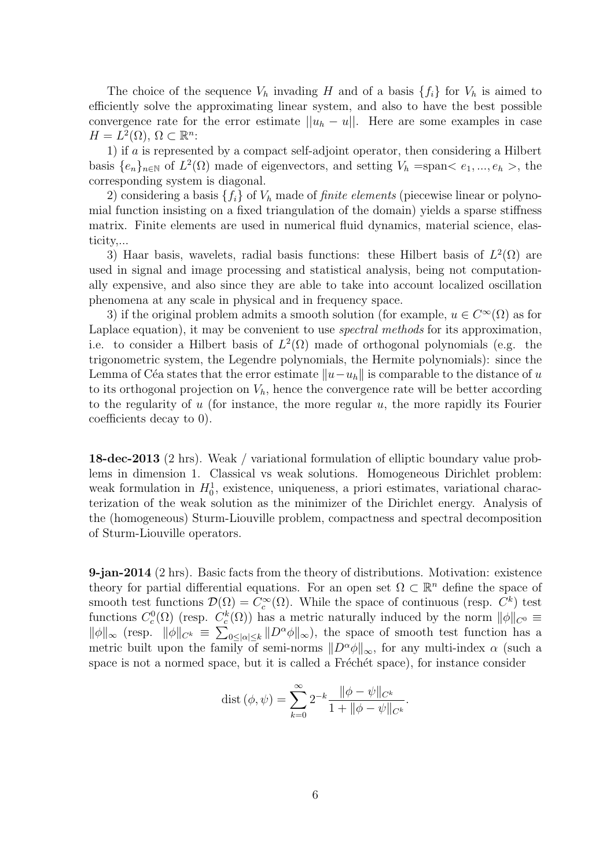The choice of the sequence  $V_h$  invading H and of a basis  $\{f_i\}$  for  $V_h$  is aimed to efficiently solve the approximating linear system, and also to have the best possible convergence rate for the error estimate  $||u_h - u||$ . Here are some examples in case  $H = L^2(\Omega), \, \Omega \subset \mathbb{R}^n$ :

1) if a is represented by a compact self-adjoint operator, then considering a Hilbert basis  $\{e_n\}_{n\in\mathbb{N}}$  of  $L^2(\Omega)$  made of eigenvectors, and setting  $V_h = \text{span} \langle e_1, ..., e_h \rangle$ , the corresponding system is diagonal.

2) considering a basis  $\{f_i\}$  of  $V_h$  made of *finite elements* (piecewise linear or polynomial function insisting on a fixed triangulation of the domain) yields a sparse stiffness matrix. Finite elements are used in numerical fluid dynamics, material science, elasticity,...

3) Haar basis, wavelets, radial basis functions: these Hilbert basis of  $L^2(\Omega)$  are used in signal and image processing and statistical analysis, being not computationally expensive, and also since they are able to take into account localized oscillation phenomena at any scale in physical and in frequency space.

3) if the original problem admits a smooth solution (for example,  $u \in C^{\infty}(\Omega)$  as for Laplace equation), it may be convenient to use *spectral methods* for its approximation, i.e. to consider a Hilbert basis of  $L^2(\Omega)$  made of orthogonal polynomials (e.g. the trigonometric system, the Legendre polynomials, the Hermite polynomials): since the Lemma of Céa states that the error estimate  $||u-u_h||$  is comparable to the distance of u to its orthogonal projection on  $V_h$ , hence the convergence rate will be better according to the regularity of  $u$  (for instance, the more regular  $u$ , the more rapidly its Fourier coefficients decay to 0).

18-dec-2013 (2 hrs). Weak / variational formulation of elliptic boundary value problems in dimension 1. Classical vs weak solutions. Homogeneous Dirichlet problem: weak formulation in  $H_0^1$ , existence, uniqueness, a priori estimates, variational characterization of the weak solution as the minimizer of the Dirichlet energy. Analysis of the (homogeneous) Sturm-Liouville problem, compactness and spectral decomposition of Sturm-Liouville operators.

9-jan-2014 (2 hrs). Basic facts from the theory of distributions. Motivation: existence theory for partial differential equations. For an open set  $\Omega \subset \mathbb{R}^n$  define the space of smooth test functions  $\mathcal{D}(\Omega) = C_c^{\infty}(\Omega)$ . While the space of continuous (resp.  $C^k$ ) test functions  $C_c^0(\Omega)$  (resp.  $C_c^k(\Omega)$ ) has a metric naturally induced by the norm  $\|\phi\|_{C^0} \equiv$  $\|\phi\|_{\infty}$  (resp.  $\|\phi\|_{C^k} \equiv \sum_{0 \leq |\alpha| \leq k} \|D^{\alpha}\phi\|_{\infty}$ ), the space of smooth test function has a metric built upon the family of semi-norms  $||D^{\alpha}\phi||_{\infty}$ , for any multi-index  $\alpha$  (such a space is not a normed space, but it is called a Fréchét space), for instance consider

dist 
$$
(\phi, \psi) = \sum_{k=0}^{\infty} 2^{-k} \frac{\|\phi - \psi\|_{C^k}}{1 + \|\phi - \psi\|_{C^k}}
$$
.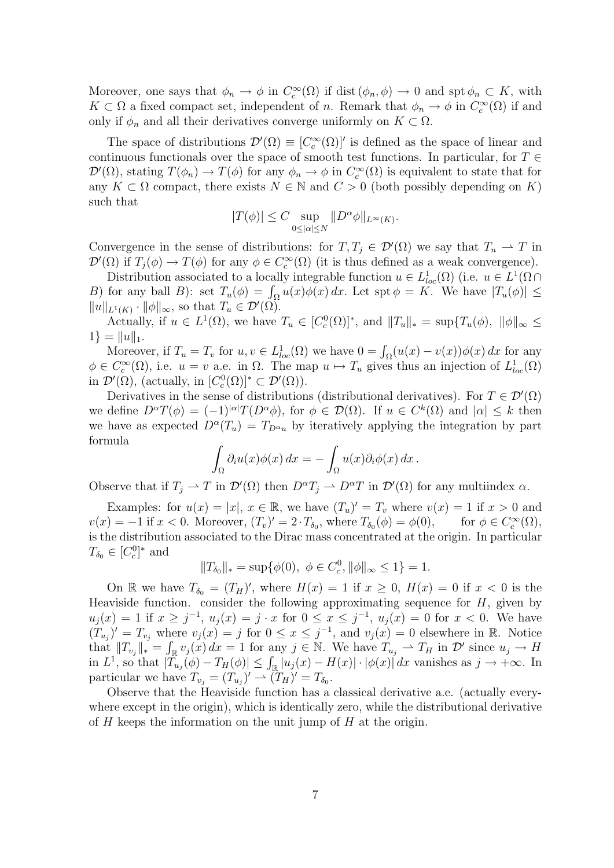Moreover, one says that  $\phi_n \to \phi$  in  $C_c^{\infty}(\Omega)$  if dist  $(\phi_n, \phi) \to 0$  and spt  $\phi_n \subset K$ , with  $K \subset \Omega$  a fixed compact set, independent of n. Remark that  $\phi_n \to \phi$  in  $C_c^{\infty}(\Omega)$  if and only if  $\phi_n$  and all their derivatives converge uniformly on  $K \subset \Omega$ .

The space of distributions  $\mathcal{D}'(\Omega) \equiv [C_c^{\infty}(\Omega)]'$  is defined as the space of linear and continuous functionals over the space of smooth test functions. In particular, for  $T \in$  $\mathcal{D}'(\Omega)$ , stating  $T(\phi_n) \to T(\phi)$  for any  $\phi_n \to \phi$  in  $C_c^{\infty}(\Omega)$  is equivalent to state that for any  $K \subset \Omega$  compact, there exists  $N \in \mathbb{N}$  and  $C > 0$  (both possibly depending on K) such that

$$
|T(\phi)|\leq C\sup_{0\leq|\alpha|\leq N}\|D^{\alpha}\phi\|_{L^{\infty}(K)}.
$$

Convergence in the sense of distributions: for  $T, T_j \in \mathcal{D}'(\Omega)$  we say that  $T_n \to T$  in  $\mathcal{D}'(\Omega)$  if  $T_j(\phi) \to T(\phi)$  for any  $\phi \in C_c^{\infty}(\Omega)$  (it is thus defined as a weak convergence).

Distribution associated to a locally integrable function  $u \in L^1_{loc}(\Omega)$  (i.e.  $u \in L^1(\Omega)$ ) B) for any ball B): set  $T_u(\phi) = \int_{\Omega} u(x) \phi(x) dx$ . Let spt  $\phi = K$ . We have  $|T_u(\phi)| \le$  $||u||_{L^1(K)} \cdot ||\phi||_{\infty}$ , so that  $T_u \in \mathcal{D}'(\Omega)$ .

Actually, if  $u \in L^1(\Omega)$ , we have  $T_u \in [C_c^0(\Omega)]^*$ , and  $||T_u||_* = \sup\{T_u(\phi), ||\phi||_\infty \leq$  $1$ } = ||u||<sub>1</sub>.

Moreover, if  $T_u = T_v$  for  $u, v \in L^1_{loc}(\Omega)$  we have  $0 = \int_{\Omega} (u(x) - v(x)) \phi(x) dx$  for any  $\phi \in C_c^{\infty}(\Omega)$ , i.e.  $u = v$  a.e. in  $\Omega$ . The map  $u \mapsto T_u$  gives thus an injection of  $L^1_{loc}(\Omega)$ in  $\mathcal{D}'(\Omega)$ , (actually, in  $[C_c^0(\Omega)]^* \subset \mathcal{D}'(\Omega)$ ).

Derivatives in the sense of distributions (distributional derivatives). For  $T \in \mathcal{D}'(\Omega)$ we define  $D^{\alpha}T(\phi) = (-1)^{|\alpha|}T(D^{\alpha}\phi)$ , for  $\phi \in \mathcal{D}(\Omega)$ . If  $u \in C^{k}(\Omega)$  and  $|\alpha| \leq k$  then we have as expected  $D^{\alpha}(T_u) = T_{D^{\alpha}u}$  by iteratively applying the integration by part formula

$$
\int_{\Omega} \partial_i u(x) \phi(x) dx = - \int_{\Omega} u(x) \partial_i \phi(x) dx.
$$

Observe that if  $T_j \to T$  in  $\mathcal{D}'(\Omega)$  then  $D^{\alpha}T_j \to D^{\alpha}T$  in  $\mathcal{D}'(\Omega)$  for any multiindex  $\alpha$ .

Examples: for  $u(x) = |x|, x \in \mathbb{R}$ , we have  $(T_u)' = T_v$  where  $v(x) = 1$  if  $x > 0$  and  $v(x) = -1$  if  $x < 0$ . Moreover,  $(T_v)' = 2 \cdot T_{\delta_0}$ , where  $T_{\delta_0}(\phi) = \phi(0)$ , for  $\phi \in C_c^{\infty}(\Omega)$ , is the distribution associated to the Dirac mass concentrated at the origin. In particular  $T_{\delta_0} \in [C_c^0]^*$  and

$$
||T_{\delta_0}||_* = \sup \{ \phi(0), \ \phi \in C_c^0, ||\phi||_{\infty} \le 1 \} = 1.
$$

On R we have  $T_{\delta_0} = (T_H)'$ , where  $H(x) = 1$  if  $x \geq 0$ ,  $H(x) = 0$  if  $x < 0$  is the Heaviside function. consider the following approximating sequence for  $H$ , given by  $u_j(x) = 1$  if  $x \geq j^{-1}$ ,  $u_j(x) = j \cdot x$  for  $0 \leq x \leq j^{-1}$ ,  $u_j(x) = 0$  for  $x < 0$ . We have  $(T_{u_j})' = T_{v_j}$  where  $v_j(x) = j$  for  $0 \le x \le j^{-1}$ , and  $v_j(x) = 0$  elsewhere in R. Notice that  $||T_{v_j}||_* = \int_{\mathbb{R}} v_j(x) dx = 1$  for any  $j \in \mathbb{N}$ . We have  $T_{u_j} \to T_H$  in  $\mathcal{D}'$  since  $u_j \to H$ in  $L^1$ , so that  $|\overline{T}_{u_j}(\phi) - T_H(\phi)| \leq \int_{\mathbb{R}} |u_j(x) - H(x)| \cdot |\phi(x)| \, dx$  vanishes as  $j \to +\infty$ . In particular we have  $T_{v_j} = (T_{u_j})' \rightharpoonup (T_H)' = T_{\delta_0}$ .

Observe that the Heaviside function has a classical derivative a.e. (actually everywhere except in the origin), which is identically zero, while the distributional derivative of  $H$  keeps the information on the unit jump of  $H$  at the origin.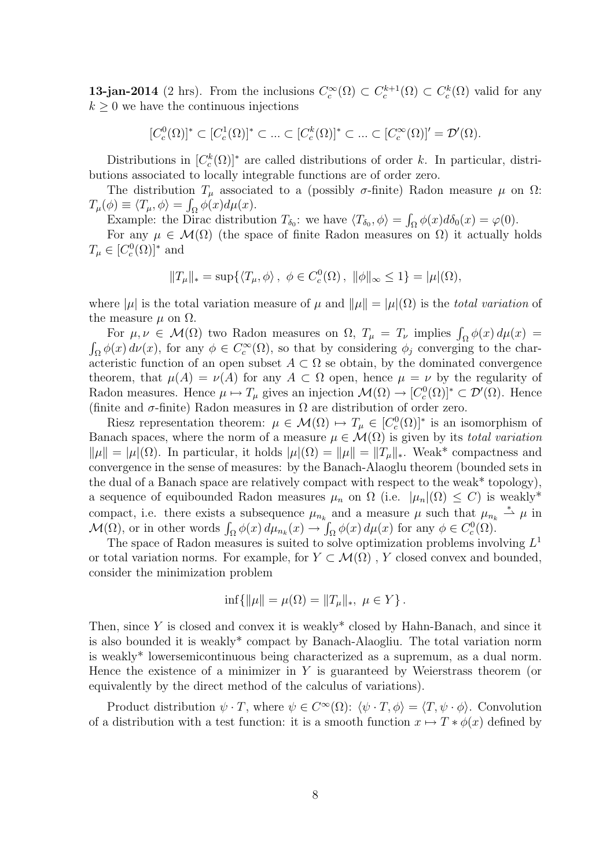**13-jan-2014** (2 hrs). From the inclusions  $C_c^{\infty}(\Omega) \subset C_c^{k+1}(\Omega) \subset C_c^k(\Omega)$  valid for any  $k \geq 0$  we have the continuous injections

$$
[C_c^0(\Omega)]^* \subset [C_c^1(\Omega)]^* \subset \dots \subset [C_c^k(\Omega)]^* \subset \dots \subset [C_c^{\infty}(\Omega)]' = \mathcal{D}'(\Omega).
$$

Distributions in  $[C_c^k(\Omega)]^*$  are called distributions of order k. In particular, distributions associated to locally integrable functions are of order zero.

The distribution  $T_{\mu}$  associated to a (possibly  $\sigma$ -finite) Radon measure  $\mu$  on  $\Omega$ :  $T_{\mu}(\phi) \equiv \langle T_{\mu}, \phi \rangle = \int_{\Omega} \phi(x) d\mu(x).$ 

Example: the Dirac distribution  $T_{\delta_0}$ : we have  $\langle T_{\delta_0}, \phi \rangle = \int_{\Omega} \phi(x) d\delta_0(x) = \varphi(0)$ .

For any  $\mu \in \mathcal{M}(\Omega)$  (the space of finite Radon measures on  $\Omega$ ) it actually holds  $T_{\mu} \in [C_c^0(\Omega)]^*$  and

$$
||T_{\mu}||_* = \sup \{ \langle T_{\mu}, \phi \rangle, \ \phi \in C_c^0(\Omega), \ ||\phi||_{\infty} \le 1 \} = |\mu|(\Omega),
$$

where  $|\mu|$  is the total variation measure of  $\mu$  and  $\|\mu\| = |\mu|(\Omega)$  is the total variation of the measure  $\mu$  on  $\Omega$ .

For  $\mu, \nu \in \mathcal{M}(\Omega)$  two Radon measures on  $\Omega$ ,  $T_{\mu} = T_{\nu}$  implies  $\int_{\Omega} \phi(x) d\mu(x) =$  $\int_{\Omega} \phi(x) d\nu(x)$ , for any  $\phi \in C_c^{\infty}(\Omega)$ , so that by considering  $\phi_j$  converging to the characteristic function of an open subset  $A \subset \Omega$  se obtain, by the dominated convergence theorem, that  $\mu(A) = \nu(A)$  for any  $A \subset \Omega$  open, hence  $\mu = \nu$  by the regularity of Radon measures. Hence  $\mu \mapsto T_{\mu}$  gives an injection  $\mathcal{M}(\Omega) \to [C_c^0(\Omega)]^* \subset \mathcal{D}'(\Omega)$ . Hence (finite and  $\sigma$ -finite) Radon measures in  $\Omega$  are distribution of order zero.

Riesz representation theorem:  $\mu \in \mathcal{M}(\Omega) \mapsto T_{\mu} \in [C_c^0(\Omega)]^*$  is an isomorphism of Banach spaces, where the norm of a measure  $\mu \in \mathcal{M}(\Omega)$  is given by its *total variation*  $\|\mu\| = |\mu|(\Omega)$ . In particular, it holds  $|\mu|(\Omega) = \|\mu\| = \|T_{\mu}\|_*$ . Weak\* compactness and convergence in the sense of measures: by the Banach-Alaoglu theorem (bounded sets in the dual of a Banach space are relatively compact with respect to the weak\* topology), a sequence of equibounded Radon measures  $\mu_n$  on  $\Omega$  (i.e.  $|\mu_n|(\Omega) \leq C$ ) is weakly<sup>\*</sup> compact, i.e. there exists a subsequence  $\mu_{n_k}$  and a measure  $\mu$  such that  $\mu_{n_k} \stackrel{*}{\rightharpoonup} \mu$  in  $\mathcal{M}(\Omega)$ , or in other words  $\int_{\Omega} \phi(x) d\mu_{n_k}(x) \to \int_{\Omega} \phi(x) d\mu(x)$  for any  $\phi \in C_c^0(\Omega)$ .

The space of Radon measures is suited to solve optimization problems involving  $L^1$ or total variation norms. For example, for  $Y \subset \mathcal{M}(\Omega)$ , Y closed convex and bounded, consider the minimization problem

$$
\inf\{\|\mu\| = \mu(\Omega) = \|T_{\mu}\|_{*}, \ \mu \in Y\}.
$$

Then, since Y is closed and convex it is weakly<sup>\*</sup> closed by Hahn-Banach, and since it is also bounded it is weakly\* compact by Banach-Alaogliu. The total variation norm is weakly\* lowersemicontinuous being characterized as a supremum, as a dual norm. Hence the existence of a minimizer in  $Y$  is guaranteed by Weierstrass theorem (or equivalently by the direct method of the calculus of variations).

Product distribution  $\psi \cdot T$ , where  $\psi \in C^{\infty}(\Omega)$ :  $\langle \psi \cdot T, \phi \rangle = \langle T, \psi \cdot \phi \rangle$ . Convolution of a distribution with a test function: it is a smooth function  $x \mapsto T * \phi(x)$  defined by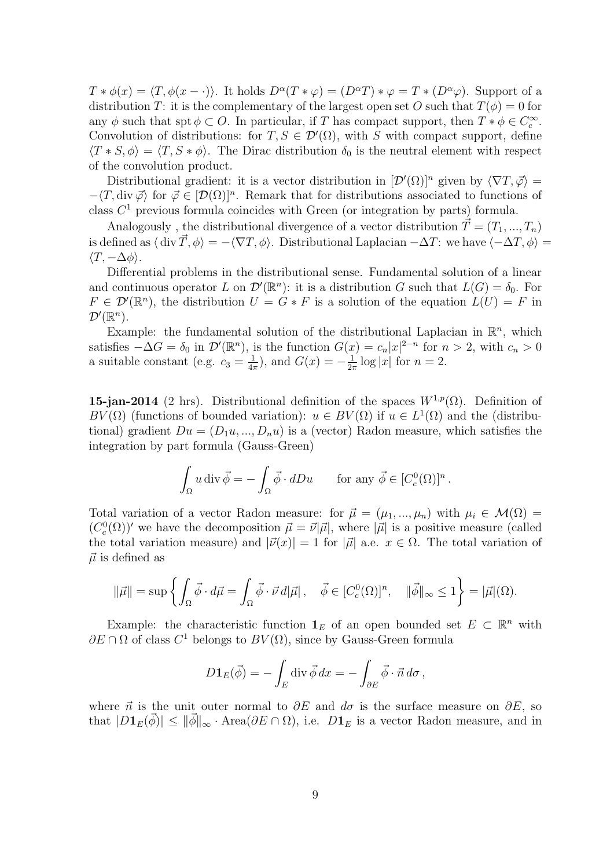$T * \phi(x) = \langle T, \phi(x - \cdot) \rangle$ . It holds  $D^{\alpha}(T * \varphi) = (D^{\alpha}T) * \varphi = T * (D^{\alpha}\varphi)$ . Support of a distribution T: it is the complementary of the largest open set O such that  $T(\phi) = 0$  for any  $\phi$  such that spt  $\phi \subset O$ . In particular, if T has compact support, then  $T * \phi \in C_c^{\infty}$ . Convolution of distributions: for  $T, S \in \mathcal{D}'(\Omega)$ , with S with compact support, define  $\langle T * S, \phi \rangle = \langle T, S * \phi \rangle$ . The Dirac distribution  $\delta_0$  is the neutral element with respect of the convolution product.

Distributional gradient: it is a vector distribution in  $[\mathcal{D}'(\Omega)]^n$  given by  $\langle \nabla T, \vec{\varphi} \rangle =$  $-\langle T, \text{div }\vec{\varphi} \rangle$  for  $\vec{\varphi} \in [\mathcal{D}(\Omega)]^n$ . Remark that for distributions associated to functions of class  $C<sup>1</sup>$  previous formula coincides with Green (or integration by parts) formula.

Analogously, the distributional divergence of a vector distribution  $\vec{T} = (T_1, ..., T_n)$ is defined as  $\langle \text{ div } \vec{T} , \phi \rangle = -\langle \nabla T , \phi \rangle$ . Distributional Laplacian  $-\Delta T$ : we have  $\langle -\Delta T , \phi \rangle =$  $\langle T, -\Delta \phi \rangle$ .

Differential problems in the distributional sense. Fundamental solution of a linear and continuous operator L on  $\mathcal{D}'(\mathbb{R}^n)$ : it is a distribution G such that  $L(G) = \delta_0$ . For  $F \in \mathcal{D}'(\mathbb{R}^n)$ , the distribution  $U = G * F$  is a solution of the equation  $L(U) = F$  in  $\mathcal{D}'(\mathbb{R}^n)$ .

Example: the fundamental solution of the distributional Laplacian in  $\mathbb{R}^n$ , which satisfies  $-\Delta G = \delta_0$  in  $\mathcal{D}'(\mathbb{R}^n)$ , is the function  $G(x) = c_n |x|^{2-n}$  for  $n > 2$ , with  $c_n > 0$ a suitable constant (e.g.  $c_3 = \frac{1}{4}$  $(\frac{1}{4\pi})$ , and  $G(x) = -\frac{1}{2\pi}$  $\frac{1}{2\pi} \log |x|$  for  $n = 2$ .

15-jan-2014 (2 hrs). Distributional definition of the spaces  $W^{1,p}(\Omega)$ . Definition of BV( $\Omega$ ) (functions of bounded variation):  $u \in BV(\Omega)$  if  $u \in L^1(\Omega)$  and the (distributional) gradient  $Du = (D_1u, ..., D_nu)$  is a (vector) Radon measure, which satisfies the integration by part formula (Gauss-Green)

$$
\int_{\Omega} u \operatorname{div} \vec{\phi} = -\int_{\Omega} \vec{\phi} \cdot dDu \qquad \text{for any } \vec{\phi} \in [C_c^0(\Omega)]^n.
$$

Total variation of a vector Radon measure: for  $\vec{\mu} = (\mu_1, ..., \mu_n)$  with  $\mu_i \in \mathcal{M}(\Omega)$  $(C_c^0(\Omega))'$  we have the decomposition  $\vec{\mu} = \vec{\nu}|\vec{\mu}|$ , where  $|\vec{\mu}|$  is a positive measure (called the total variation measure) and  $|\vec{\nu}(x)| = 1$  for  $|\vec{\mu}|$  a.e.  $x \in \Omega$ . The total variation of  $\vec{\mu}$  is defined as

$$
\|\vec{\mu}\| = \sup \left\{ \int_{\Omega} \vec{\phi} \cdot d\vec{\mu} = \int_{\Omega} \vec{\phi} \cdot \vec{\nu} d|\vec{\mu}| \,, \quad \vec{\phi} \in [C_c^0(\Omega)]^n, \quad \|\vec{\phi}\|_{\infty} \le 1 \right\} = |\vec{\mu}|(\Omega).
$$

Example: the characteristic function  $\mathbf{1}_E$  of an open bounded set  $E \subset \mathbb{R}^n$  with  $\partial E \cap \Omega$  of class  $C^1$  belongs to  $BV(\Omega)$ , since by Gauss-Green formula

$$
D\mathbf{1}_E(\vec{\phi}) = -\int_E \operatorname{div}\vec{\phi}\,dx = -\int_{\partial E} \vec{\phi} \cdot \vec{n}\,d\sigma\,,
$$

where  $\vec{n}$  is the unit outer normal to  $\partial E$  and  $d\sigma$  is the surface measure on  $\partial E$ , so that  $|D1_E(\phi)| \le ||\phi||_{\infty} \cdot \text{Area}(\partial E \cap \Omega)$ , i.e.  $D1_E$  is a vector Radon measure, and in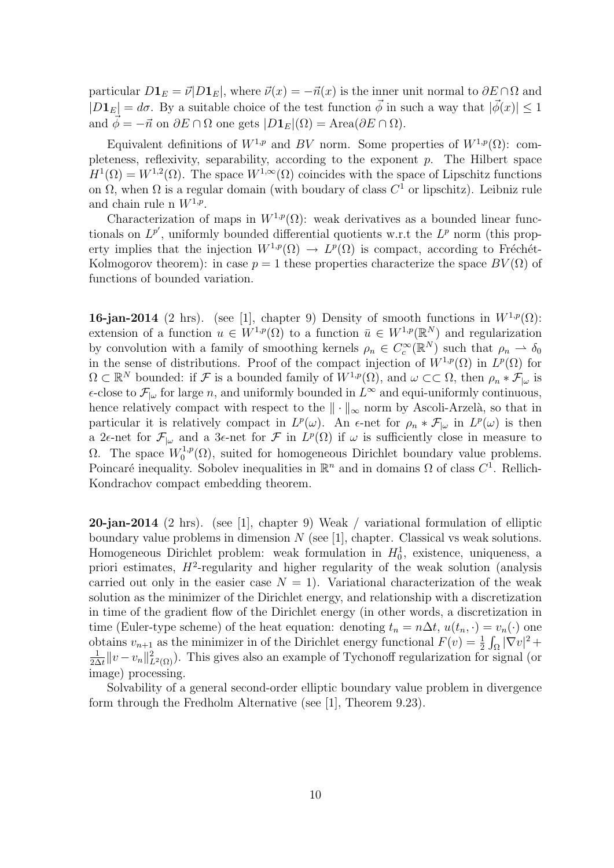particular  $D\mathbf{1}_E = \vec{\nu} | D\mathbf{1}_E|$ , where  $\vec{\nu}(x) = -\vec{n}(x)$  is the inner unit normal to  $\partial E \cap \Omega$  and  $|D1_E| = d\sigma$ . By a suitable choice of the test function  $\vec{\phi}$  in such a way that  $|\vec{\phi}(x)| \leq 1$ and  $\vec{\phi} = -\vec{n}$  on  $\partial E \cap \Omega$  one gets  $|D\mathbf{1}_E|(\Omega) = \text{Area}(\partial E \cap \Omega)$ .

Equivalent definitions of  $W^{1,p}$  and BV norm. Some properties of  $W^{1,p}(\Omega)$ : completeness, reflexivity, separability, according to the exponent p. The Hilbert space  $H^1(\Omega) = W^{1,2}(\Omega)$ . The space  $W^{1,\infty}(\Omega)$  coincides with the space of Lipschitz functions on  $\Omega$ , when  $\Omega$  is a regular domain (with boudary of class  $C<sup>1</sup>$  or lipschitz). Leibniz rule and chain rule n  $W^{1,p}$ .

Characterization of maps in  $W^{1,p}(\Omega)$ : weak derivatives as a bounded linear functionals on  $L^{p'}$ , uniformly bounded differential quotients w.r.t the  $L^p$  norm (this property implies that the injection  $W^{1,p}(\Omega) \to L^p(\Omega)$  is compact, according to Fréchét-Kolmogorov theorem): in case  $p = 1$  these properties characterize the space  $BV(\Omega)$  of functions of bounded variation.

**16-jan-2014** (2 hrs). (see [1], chapter 9) Density of smooth functions in  $W^{1,p}(\Omega)$ : extension of a function  $u \in W^{1,p}(\Omega)$  to a function  $\bar{u} \in W^{1,p}(\mathbb{R}^N)$  and regularization by convolution with a family of smoothing kernels  $\rho_n \in C_c^{\infty}(\mathbb{R}^N)$  such that  $\rho_n \to \delta_0$ in the sense of distributions. Proof of the compact injection of  $W^{1,p}(\Omega)$  in  $L^p(\Omega)$  for  $\Omega \subset \mathbb{R}^N$  bounded: if F is a bounded family of  $W^{1,p}(\Omega)$ , and  $\omega \subset\subset \Omega$ , then  $\rho_n * \mathcal{F}_{|\omega}$  is  $\epsilon$ -close to  $\mathcal{F}_{|\omega}$  for large n, and uniformly bounded in  $L^{\infty}$  and equi-uniformly continuous, hence relatively compact with respect to the  $\|\cdot\|_{\infty}$  norm by Ascoli-Arzelà, so that in particular it is relatively compact in  $L^p(\omega)$ . An  $\epsilon$ -net for  $\rho_n * \mathcal{F}_{|\omega}$  in  $L^p(\omega)$  is then a 2 $\epsilon$ -net for  $\mathcal{F}_{|\omega}$  and a 3 $\epsilon$ -net for  $\mathcal{F}$  in  $L^p(\Omega)$  if  $\omega$  is sufficiently close in measure to Ω. The space  $W_0^{1,p}$  $0^{(1,p)}(0)$ , suited for homogeneous Dirichlet boundary value problems. Poincaré inequality. Sobolev inequalities in  $\mathbb{R}^n$  and in domains  $\Omega$  of class  $C^1$ . Rellich-Kondrachov compact embedding theorem.

20-jan-2014 (2 hrs). (see [1], chapter 9) Weak / variational formulation of elliptic boundary value problems in dimension  $N$  (see [1], chapter. Classical vs weak solutions. Homogeneous Dirichlet problem: weak formulation in  $H_0^1$ , existence, uniqueness, a priori estimates,  $H^2$ -regularity and higher regularity of the weak solution (analysis carried out only in the easier case  $N = 1$ ). Variational characterization of the weak solution as the minimizer of the Dirichlet energy, and relationship with a discretization in time of the gradient flow of the Dirichlet energy (in other words, a discretization in time (Euler-type scheme) of the heat equation: denoting  $t_n = n\Delta t$ ,  $u(t_n, \cdot) = v_n(\cdot)$  one obtains  $v_{n+1}$  as the minimizer in of the Dirichlet energy functional  $F(v) = \frac{1}{2} \int_{\Omega} |\nabla v|^2 +$ 1  $\frac{1}{2\Delta t} \|v - v_n\|_{L^2(\Omega)}^2$ ). This gives also an example of Tychonoff regularization for signal (or image) processing.

Solvability of a general second-order elliptic boundary value problem in divergence form through the Fredholm Alternative (see [1], Theorem 9.23).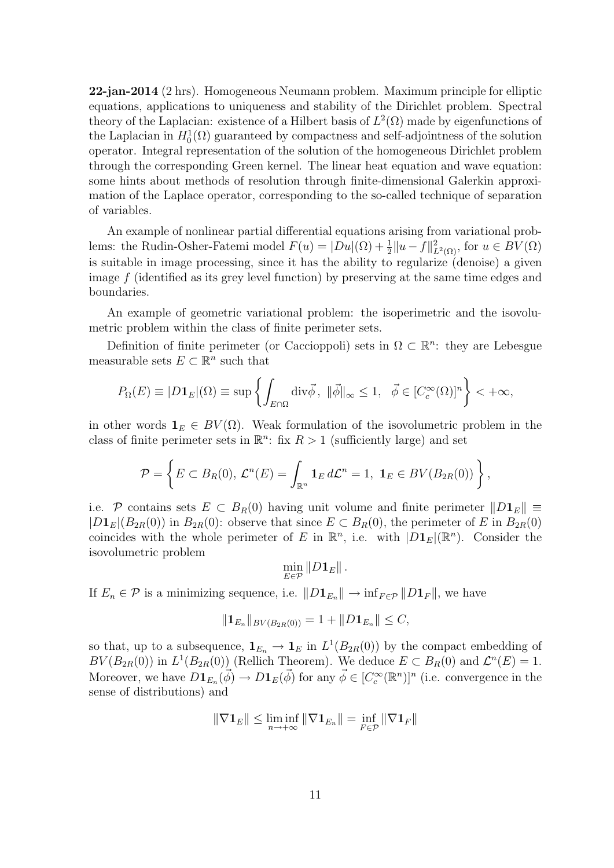22-jan-2014 (2 hrs). Homogeneous Neumann problem. Maximum principle for elliptic equations, applications to uniqueness and stability of the Dirichlet problem. Spectral theory of the Laplacian: existence of a Hilbert basis of  $L^2(\Omega)$  made by eigenfunctions of the Laplacian in  $H_0^1(\Omega)$  guaranteed by compactness and self-adjointness of the solution operator. Integral representation of the solution of the homogeneous Dirichlet problem through the corresponding Green kernel. The linear heat equation and wave equation: some hints about methods of resolution through finite-dimensional Galerkin approximation of the Laplace operator, corresponding to the so-called technique of separation of variables.

An example of nonlinear partial differential equations arising from variational problems: the Rudin-Osher-Fatemi model  $F(u) = |Du|(\Omega) + \frac{1}{2}||u - f||^2_{L^2(\Omega)}$ , for  $u \in BV(\Omega)$ is suitable in image processing, since it has the ability to regularize (denoise) a given image f (identified as its grey level function) by preserving at the same time edges and boundaries.

An example of geometric variational problem: the isoperimetric and the isovolumetric problem within the class of finite perimeter sets.

Definition of finite perimeter (or Caccioppoli) sets in  $\Omega \subset \mathbb{R}^n$ : they are Lebesgue measurable sets  $E \subset \mathbb{R}^n$  such that

$$
P_{\Omega}(E) \equiv |D\mathbf{1}_E|(\Omega) \equiv \sup \left\{ \int_{E \cap \Omega} \text{div}\vec{\phi}, \ \|\vec{\phi}\|_{\infty} \leq 1, \ \ \vec{\phi} \in [C_c^{\infty}(\Omega)]^n \right\} < +\infty,
$$

in other words  $\mathbf{1}_E \in BV(\Omega)$ . Weak formulation of the isovolumetric problem in the class of finite perimeter sets in  $\mathbb{R}^n$ : fix  $R > 1$  (sufficiently large) and set

$$
\mathcal{P} = \left\{ E \subset B_R(0), \, \mathcal{L}^n(E) = \int_{\mathbb{R}^n} \mathbf{1}_E \, d\mathcal{L}^n = 1, \, \, \mathbf{1}_E \in BV(B_{2R}(0)) \right\},
$$

i.e. P contains sets  $E \subset B_R(0)$  having unit volume and finite perimeter  $||D_1E|| \equiv$  $|D_1E|(B_{2R}(0))$  in  $B_{2R}(0)$ : observe that since  $E \subset B_R(0)$ , the perimeter of E in  $B_{2R}(0)$ coincides with the whole perimeter of E in  $\mathbb{R}^n$ , i.e. with  $|D_1E|(\mathbb{R}^n)$ . Consider the isovolumetric problem

$$
\min_{E\in\mathcal{P}}\|D\mathbf{1}_E\|\,.
$$

If  $E_n \in \mathcal{P}$  is a minimizing sequence, i.e.  $||D_1E_n|| \to \inf_{F \in \mathcal{P}} ||D_1F||$ , we have

$$
||\mathbf{1}_{E_n}||_{BV(B_{2R}(0))} = 1 + ||D\mathbf{1}_{E_n}|| \leq C,
$$

so that, up to a subsequence,  $\mathbf{1}_{E_n} \to \mathbf{1}_E$  in  $L^1(B_{2R}(0))$  by the compact embedding of  $BV(B_{2R}(0))$  in  $L^1(B_{2R}(0))$  (Rellich Theorem). We deduce  $E \subset B_R(0)$  and  $\mathcal{L}^n(E) = 1$ . Moreover, we have  $D\mathbf{1}_{E_n}(\vec{\phi}) \to D\mathbf{1}_E(\vec{\phi})$  for any  $\vec{\phi} \in [C_c^{\infty}(\mathbb{R}^n)]^n$  (i.e. convergence in the sense of distributions) and

$$
\|\nabla \mathbf{1}_E\| \le \liminf_{n \to +\infty} \|\nabla \mathbf{1}_{E_n}\| = \inf_{F \in \mathcal{P}} \|\nabla \mathbf{1}_F\|
$$